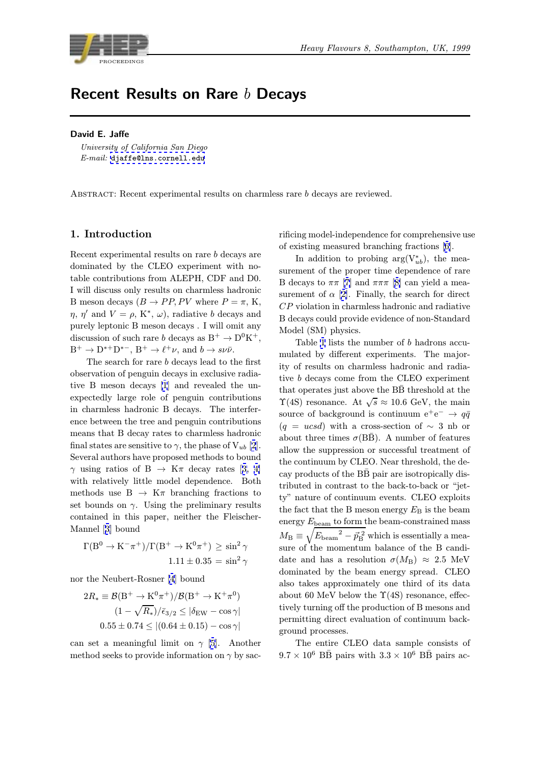

# Recent Results on Rare  $b$  Decays

#### David E. Jaffe

E-mail: djaffe@lns.cornell.edu

Abstract: [Recent](mailto:djaffe@lns.cornell.edu) [experimental](mailto:djaffe@lns.cornell.edu) [r](mailto:djaffe@lns.cornell.edu)esults on charmless rare b decays are reviewed.

## 1. Introduction

Recent experimental results on rare b decays are dominated by the CLEO experiment with notable contributions from ALEPH, CDF and D0. I will discuss only results on charmless hadronic B meson decays  $(B \to PP, PV$  where  $P = \pi$ , K,  $\eta, \eta'$  and  $V = \rho, K^*, \omega$ , radiative b decays and purely leptonic B meson decays . I will omit any discussion of such rare b decays as  $B^+ \to D^0 K^+$ ,  $\mathrm{B}^+ \rightarrow \mathrm{D}^{*+} \mathrm{D}^{*-},$   $\mathrm{B}^+ \rightarrow \ell^+ \nu,$  and  $b \rightarrow s \nu \bar{\nu}.$ 

The search for rare b decays lead to the first observation of penguin decays in exclusive radiative B meson decays [1] and revealed the unexpectedly large role of penguin contributions in charmless hadronic B decays. The interference between the tree and penguin contributions means that B decay ra[te](#page-7-0)s to charmless hadronic final states are sensitive to  $\gamma$ , the phase of  $V_{ub}$  [2]. Several authors have proposed methods to bound  $\gamma$  using ratios of B  $\rightarrow$  K $\pi$  decay rates [3, 4] with relatively little model dependence. Both methods use  $B \to K\pi$  branching fractions [t](#page-7-0)o set bounds on  $\gamma$ . Using the preliminary results contained in this paper, neither the Fleis[cher-](#page-7-0)Mannel [3] bound

$$
\Gamma(B^0 \to K^- \pi^+)/\Gamma(B^+ \to K^0 \pi^+) \ge \sin^2 \gamma
$$
  

$$
1.11 \pm 0.35 = \sin^2 \gamma
$$

nor the [Ne](#page-7-0)ubert-Rosner [4] bound

$$
2R_* \equiv \mathcal{B}(B^+ \to K^0 \pi^+)/\mathcal{B}(B^+ \to K^+ \pi^0)
$$
  

$$
(1 - \sqrt{R_*})/\bar{\epsilon}_{3/2} \le |\delta_{EW} - \cos \gamma|
$$
  

$$
0.55 \pm 0.74 \le |(0.64 \pm 0.15) - \cos \gamma|
$$

can set a meaningful limit on  $\gamma$  [5]. Another method seeks to provide information on  $\gamma$  by sac-

rificing model-independence for comprehensive use of existing measured branching fractions [6].

In addition to probing  $arg(V_{ub}^*)$ , the measurement of the proper time dependence of rare B decays to  $\pi\pi$  [7] and  $\pi\pi\pi$  [8] can yield a measurement of  $\alpha$  [2]. Finally, the search for [d](#page-7-0)irect CP violation in charmless hadronic and radiative B decays could provide evide[nc](#page-7-0)e of non-Standard Model (SM) phy[si](#page-7-0)cs.

Table 1 list[s](#page-7-0) the number of b hadrons accumulated by different experiments. The majority of results on charmless hadronic and radiative b decays come from the CLEO experiment that oper[ate](#page-1-0)s just above the  $B\bar{B}$  threshold at the  $\Upsilon(4S)$  resonance. At  $\sqrt{s} \approx 10.6$  GeV, the main source of background is continuum  $e^+e^- \rightarrow q\bar{q}$  $(q = ucsd)$  with a cross-section of  $\sim 3$  nb or about three times  $\sigma$ (BB). A number of features allow the suppression or successful treatment of the continuum by CLEO. Near threshold, the decay products of the  $B\bar{B}$  pair are isotropically distributed in contrast to the back-to-back or "jetty" nature of continuum events. CLEO exploits the fact that the B meson energy  $E_{\rm B}$  is the beam energy  $E_{\text{beam}}$  to form the beam-constrained mass  $M_{\rm B} \equiv \sqrt{E_{\rm beam}{}^2 - \vec{p}_{\rm B}^{\; 2}}$  which is essentially a measure of the momentum balance of the B candidate and has a resolution  $\sigma(M_{\rm B}) \approx 2.5$  MeV dominated by the beam energy spread. CLEO also takes approximately one third of its data about 60 MeV below the  $\Upsilon(4S)$  resonance, effectively turning off the production of B mesons and permitting direct evaluation of continuum background processes.

The entire CLEO data sample consists of  $9.7 \times 10^6$  BB pairs with  $3.3 \times 10^6$  BB pairs ac-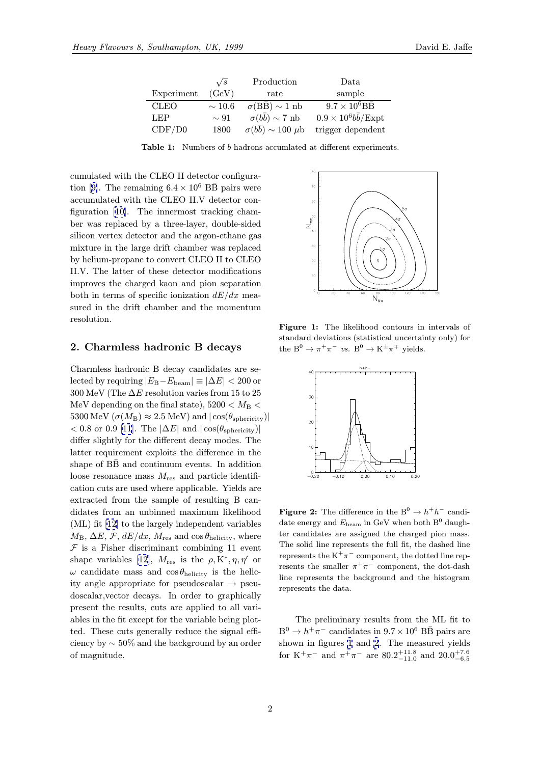|             | $\sqrt{s}$  | Production                          | Data                                         |
|-------------|-------------|-------------------------------------|----------------------------------------------|
| Experiment  | (GeV)       | rate                                | sample                                       |
| <b>CLEO</b> | $\sim$ 10.6 | $\sigma(B\bar{B}) \sim 1$ nb        | $9.7\times10^6\mathrm{B}\mathrm{\bar{B}}$    |
| LEP         | $\sim 91$   | $\sigma(b\bar{b}) \sim 7$ nb        | $0.9 \times 10^6 b \overline{b}/\text{Expt}$ |
| CDF/DO      | 1800        | $\sigma(b\bar{b}) \sim 100 \,\mu b$ | trigger dependent                            |

Table 1: Numbers of <sup>b</sup> hadrons accumlated at different experiments.

<span id="page-1-0"></span>cumulated with the CLEO II detector configuration [9]. The remaining  $6.4 \times 10^6$  BB pairs were accumulated with the CLEO II.V detector configuration [10]. The innermost tracking chamber was replaced by a three-layer, double-sided silico[n](#page-7-0) vertex detector and the argon-ethane gas mixture in the large drift chamber was replaced by helium-[pro](#page-8-0)pane to convert CLEO II to CLEO II.V. The latter of these detector modifications improves the charged kaon and pion separation both in terms of specific ionization  $dE/dx$  measured in the drift chamber and the momentum resolution.

#### 2. Charmless hadronic B decays

Charmless hadronic B decay candidates are selected by requiring  $|E_{\rm B}-E_{\rm beam}| \equiv |\Delta E| < 200$  or 300 MeV (The  $\Delta E$  resolution varies from 15 to 25 MeV depending on the final state),  $5200 < M_{\rm B}$ 5300 MeV  $(\sigma(M_{\rm B}) \approx 2.5 \text{ MeV})$  and  $|\cos(\theta_{\rm sphericity})|$  $< 0.8$  or 0.9 [11]. The  $|\Delta E|$  and  $|\cos(\theta_{\rm sphericity})|$ differ slightly for the different decay modes. The latter requirement exploits the difference in the shape of  $B\bar{B}$  and continuum events. In addition loose resona[nce](#page-8-0) mass  $M_{\text{res}}$  and particle identification cuts are used where applicable. Yields are extracted from the sample of resulting B candidates from an unbinned maximum likelihood (ML) fit [12] to the largely independent variables  $M_{\rm B}$ ,  $\Delta E$ ,  $\mathcal{F}$ ,  $dE/dx$ ,  $M_{\rm res}$  and  $\cos\theta_{\rm helicity}$ , where  $F$  is a Fisher discriminant combining 11 event shape variables [12],  $M_{\text{res}}$  is the  $\rho, K^*, \eta, \eta'$  or  $\omega$  candid[ate](#page-8-0) mass and  $\cos\theta_{\text{helicity}}$  is the helicity angle appropriate for pseudoscalar  $\rightarrow$  pseudoscalar,vector decays. In order to graphically present the resul[ts,](#page-8-0) cuts are applied to all variables in the fit except for the variable being plotted. These cuts generally reduce the signal efficiency by ∼ 50% and the background by an order of magnitude.



Figure 1: The likelihood contours in intervals of standard deviations (statistical uncertainty only) for the  $B^0 \to \pi^+ \pi^-$  vs.  $B^0 \to K^{\pm} \pi^{\mp}$  yields.



**Figure 2:** The difference in the B<sup>0</sup>  $\rightarrow$   $h^{+}h^{-}$  candidate energy and  $E_{\text{beam}}$  in GeV when both  $B^0$  daughter candidates are assigned the charged pion mass. The solid line represents the full fit, the dashed line represents the  $K^+\pi^-$  component, the dotted line represents the smaller  $\pi^+\pi^-$  component, the dot-dash line represents the background and the histogram represents the data.

The preliminary results from the ML fit to  $B^0 \to h^+\pi^-$  candidates in  $9.7 \times 10^6$  BB pairs are shown in figures 1 and 2. The measured yields for K<sup>+</sup> $\pi$ <sup>-</sup> and  $\pi$ <sup>+</sup> $\pi$ <sup>-</sup> are 80.2<sup>+11.8</sup> and 20.0<sup>+7.6</sup>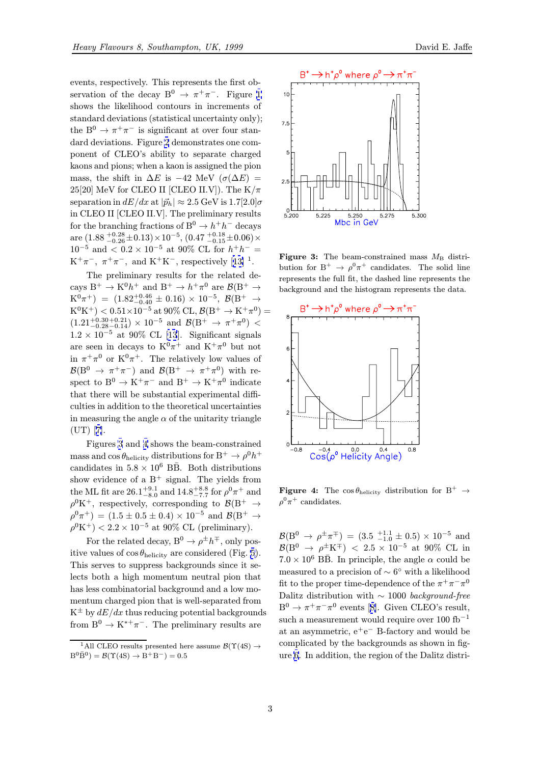events, respectively. This represents the first observation of the decay  $B^0 \to \pi^+\pi^-$ . Figure 1 shows the likelihood contours in increments of standard deviations (statistical uncertainty only); the B<sup>0</sup>  $\rightarrow \pi^+\pi^-$  is significant at over four standard deviations. Figure 2 demonstrates one co[m](#page-1-0)ponent of CLEO's ability to separate charged kaons and pions; when a kaon is assigned the pion mass, the shift in  $\Delta E$  is -42 MeV ( $\sigma(\Delta E)$  = 25[20] MeV for CLEO I[I \[](#page-1-0)CLEO II.V]). The  $K/\pi$ separation in  $dE/dx$  at  $|\vec{p}_h| \approx 2.5$  GeV is  $1.7[2.0]\sigma$ in CLEO II [CLEO II.V]. The preliminary results for the branching fractions of  $B^0 \to h^+h^-$  decays are  $\left(1.88\,^{+0.28}_{-0.26}{\pm0.13}\right){\times}10^{-5},\,\left(0.47\,^{+0.18}_{-0.15}{\pm0.06}\right){\times}$  $10^{-5}$  and  $\lt 0.2 \times 10^{-5}$  at 90% CL for  $h^+h^-$  =  $K^+\pi^-$ ,  $\pi^+\pi^-$ , and  $K^+K^-$ , respectively [13] <sup>1</sup>.

The preliminary results for the related decays  $B^+ \to K^0 h^+$  and  $B^+ \to h^+ \pi^0$  are  $\mathcal{B}/B^+ \to$  $K^0\pi^+$ ) =  $(1.82^{+0.46}_{-0.40} \pm 0.16) \times 10^{-5}$ ,  $\mathcal{B}(B^+ \rightarrow$  $K^0K^+$  $K^0K^+$ ) <  $0.51\times10^{-5}$  at 90% CL,  $\mathcal{B}(B^+\to K^+\pi^0)$  =  $(1.21^{+0.30+0.21}_{-0.28-0.14}) \times 10^{-5}$  and  $\mathcal{B}(B^+ \to \pi^+\pi^0)$  <  $1.2 \times 10^{-5}$  at 90% CL [13]. Significant signals are seen in decays to  $K^0\pi^+$  and  $K^+\pi^0$  but not in  $\pi^+\pi^0$  or  $K^0\pi^+$ . The relatively low values of  $\mathcal{B}(B^0 \to \pi^+\pi^-)$  and  $\mathcal{B}(B^+ \to \pi^+\pi^0)$  with respect to  $B^0 \to K^+\pi^-$  and  $B^+ \to K^+\pi^0$  indicate that there will be substantial experimental difficulties in addition to the theoretical uncertainties in measuring the angle  $\alpha$  of the unitarity triangle  $(UT)$  [7].

Figures 3 and 4 shows the beam-constrained mass and  $\cos\theta_{\text{helicity}}$  distributions for  $B^+ \to \rho^0 h^+$ candidates in  $5.8 \times 10^6$  BB. Both distributions show [ev](#page-7-0)idence of a  $B^+$  signal. The yields from the ML fit are  $26.1^{+9.1}_{-8.0}$  and  $14.8^{+8.8}_{-7.7}$  for  $\rho^0 \pi^+$  and  $\rho^0 K^+$ , respectively, corresponding to  $\mathcal{B}(B^+ \to$  $\rho^0 \pi^+$ ) = (1.5 ± 0.5 ± 0.4) × 10<sup>-5</sup> and  $\mathcal{B}(B^+ \to$  $\rho^0 K^+$ ) < 2.2 × 10<sup>-5</sup> at 90% CL (preliminary).

For the related decay,  $B^0 \to \rho^{\pm} h^{\mp}$ , only positive values of  $\cos \theta_{\text{helicity}}$  are considered (Fig. 5). This serves to suppress backgrounds since it selects both a high momentum neutral pion that has less combinatorial background and a low momentum charged pion that is well-separated fr[om](#page-3-0)  $K^{\pm}$  by  $dE/dx$  thus reducing potential backgrounds from  $B^0 \to K^{*+}\pi^-$ . The preliminary results are



Figure 3: The beam-constrained mass  $M<sub>B</sub>$  distribution for  $B^+ \to \rho^0 \pi^+$  candidates. The solid line represents the full fit, the dashed line represents the background and the histogram represents the data.



**Figure 4:** The  $\cos \theta_{\text{helicity}}$  distribution for B<sup>+</sup>  $\rightarrow$  $\rho^0 \pi^+$  candidates.

 $\mathcal{B}(B^0 \to \rho^{\pm} \pi^{\mp}) = (3.5 \text{ } ^{+1.1}_{-1.0} \pm 0.5) \times 10^{-5}$  and  $\mathcal{B}(B^0 \to \rho^{\pm} K^{\mp})$  < 2.5 × 10<sup>-5</sup> at 90% CL in  $7.0 \times 10^6$  BB. In principle, the angle  $\alpha$  could be measured to a precision of  $\sim 6°$  with a likelihood fit to the proper time-dependence of the  $\pi^+\pi^-\pi^0$ Dalitz distribution with  $\sim 1000$  background-free  $B^0 \to \pi^+ \pi^- \pi^0$  events [8]. Given CLEO's result, such a measurement would require over  $100$  fb<sup>-1</sup> at an asymmetric,  $e^+e^-$  B-factory and would be complicated by the backgrounds as shown in figure 6. In addition, the [re](#page-7-0)gion of the Dalitz distri-

<sup>&</sup>lt;sup>1</sup>All CLEO results presented here assume  $\mathcal{B}(\Upsilon(4S) \rightarrow$  $B^{0} \bar{B}^{0}$ ) =  $\mathcal{B}(\Upsilon(4S) \to B^{+} B^{-})=0.5$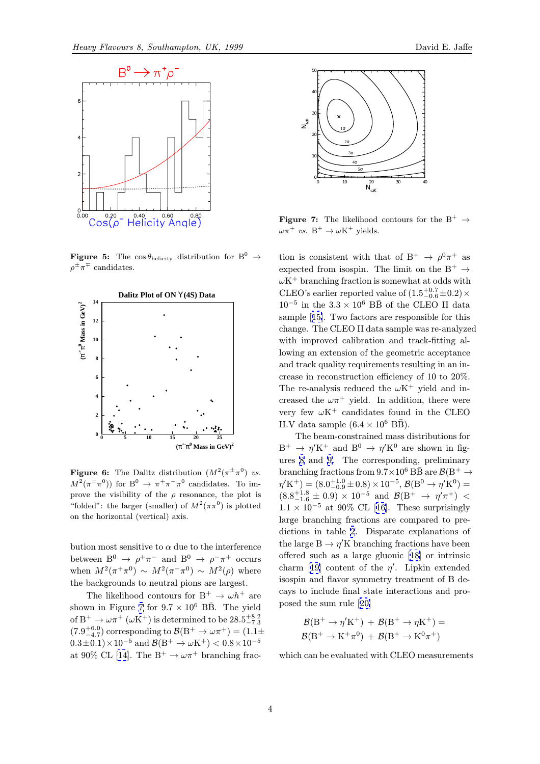<span id="page-3-0"></span>

**Figure 5:** The  $\cos \theta_{\text{helicity}}$  distribution for B<sup>0</sup>  $\rightarrow$  $\rho^{\pm}\pi^{\mp}$  candidates.



**Figure 6:** The Dalitz distribution  $(M^2(\pi^{\pm}\pi^0))$  vs.  $M^2(\pi^{\mp}\pi^0)$  for  $B^0 \to \pi^+\pi^-\pi^0$  candidates. To improve the visibility of the  $\rho$  resonance, the plot is "folded": the larger (smaller) of  $M^2(\pi\pi^0)$  is plotted on the horizontal (vertical) axis.

bution most sensitive to  $\alpha$  due to the interference between  $B^0 \rightarrow \rho^+ \pi^-$  and  $B^0 \rightarrow \rho^- \pi^+$  occurs when  $M^2(\pi^+\pi^0) \sim M^2(\pi^-\pi^0) \sim M^2(\rho)$  where the backgrounds to neutral pions are largest.

The likelihood contours for  $B^+ \to \omega h^+$  are shown in Figure 7 for  $9.7 \times 10^6$  BB. The yield of  $B^+ \to \omega \pi^+$  ( $\omega K^+$ ) is determined to be  $28.5^{+8.2}_{-7.3}$  $(7.9^{+6.0}_{-4.7})$  corresponding to  $\mathcal{B}(B^+ \to \omega \pi^+) = (1.1 \pm$  $(0.3\pm0.1)\times10^{-5}$  and  $\mathcal{B}(B^+\to\omega K^+)$  <  $0.8\times10^{-5}$ at 90% CL [14]. The B<sup>+</sup>  $\rightarrow \omega \pi^+$  branching frac-



**Figure 7:** The likelihood contours for the B<sup>+</sup>  $\rightarrow$  $\omega \pi^+$  vs.  $B^+ \to \omega K^+$  yields.

tion is consistent with that of B<sup>+</sup>  $\rightarrow \rho^0 \pi^+$  as expected from isospin. The limit on the B<sup>+</sup>  $\rightarrow$  $\omega$ K<sup>+</sup> branching fraction is somewhat at odds with CLEO's earlier reported value of  $(1.5_{-0.6}^{+0.7} \pm 0.2) \times$  $10^{-5}$  in the  $3.3 \times 10^6$  BB of the CLEO II data sample [15]. Two factors are responsible for this change. The CLEO II data sample was re-analyzed with improved calibration and track-fitting allowing an extension of the geometric acceptance and trac[k q](#page-8-0)uality requirements resulting in an increase in reconstruction efficiency of 10 to 20%. The re-analysis reduced the  $\omega$ K<sup>+</sup> yield and increased the  $\omega \pi^+$  yield. In addition, there were very few  $\omega$ K<sup>+</sup> candidates found in the CLEO II.V data sample  $(6.4 \times 10^6 \text{ B} \bar{\text{B}})$ .

The beam-constrained mass distributions for  $B^+ \rightarrow \eta' K^+$  and  $B^0 \rightarrow \eta' K^0$  are shown in figures 8 and 9. The corresponding, preliminary branching fractions from  $9.7\times10^6$  BB are  $\mathcal{B}(B^+\to$  $\eta^{\prime}$ K<sup>+</sup>) = (8.0<sup>+1.0</sup> ± 0.8) × 10<sup>-5</sup>,  $\mathcal{B}(B^0 \to \eta^{\prime} K^0)$  =  $(8.8^{+1.8}_{-1.6} \pm 0.9) \times 10^{-5}$  and  $\mathcal{B}(B^{+} \rightarrow \eta^{\prime} \pi^{+})$  <  $1.1 \times 10^{-5}$  $1.1 \times 10^{-5}$  [at](#page-4-0) 90% CL [16]. These surprisingly large branching fractions are compared to predictions in table 2. Disparate explanations of the large  $\mathrm{B} \to \eta^{\prime}\mathrm{K}$  branching fractions have been offered such as a large [glu](#page-8-0)onic [18] or intrinsic charm [19] content of the  $\eta'$ . Lipkin extended isospin and flavor [s](#page-5-0)ymmetry treatment of B decays to include final state intera[ctio](#page-8-0)ns and proposed the sum rule [20]

$$
\begin{aligned} \mathcal{B}(B^+ \to \eta' K^+) \; + \; \mathcal{B}(B^+ \to \eta K^+) = \\ \mathcal{B}(B^+ \to K^+ \pi^0) \; + \; \mathcal{B}(B^+ \to K^0 \pi^+) \end{aligned}
$$

which can be evaluat[ed](#page-8-0) with CLEO measurements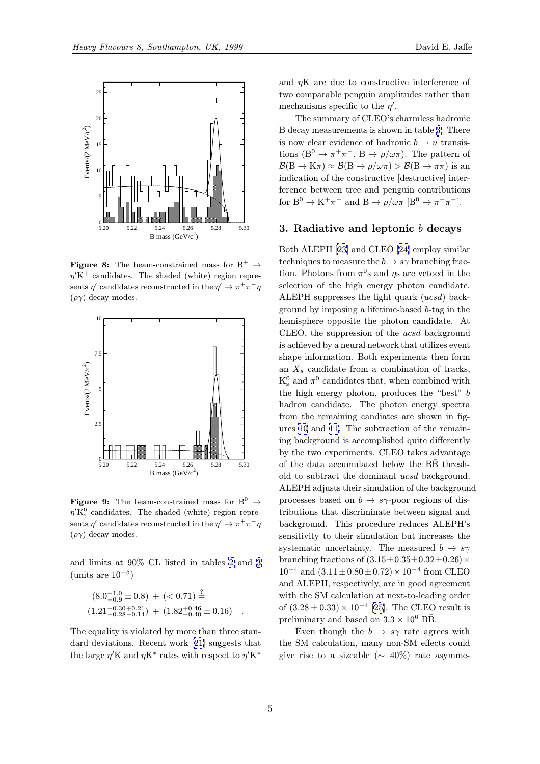<span id="page-4-0"></span>

**Figure 8:** The beam-constrained mass for  $B^+ \rightarrow$  $\eta$ <sup>'</sup>K<sup>+</sup> candidates. The shaded (white) region represents  $\eta'$  candidates reconstructed in the  $\eta' \to \pi^+\pi^-\eta$  $(\rho \gamma)$  decay modes.



**Figure 9:** The beam-constrained mass for  $B^0 \rightarrow$  $\eta^{\prime}K_{s}^{0}$  candidates. The shaded (white) region represents  $\eta'$  candidates reconstructed in the  $\eta' \to \pi^+\pi^-\eta$  $(\rho \gamma)$  decay modes.

and limits at 90% CL listed in tables 2 and 3 (units are  $10^{-5}$ )

$$
(8.0^{+1.0}_{-0.9} \pm 0.8) + (0.71) \frac{?}{=}
$$
  

$$
(1.21^{+0.30}_{-0.28} {}^{+0.21}_{-0.14}) + (1.82^{+0.46}_{-0.40} \pm 0.16) .
$$

The equality is violated by more than three standard deviations. Recent work [21] suggests that the large  $\eta$ 'K and  $\eta$ K<sup>\*</sup> rates with respect to  $\eta$ 'K<sup>\*</sup>

and  $\eta$ K are due to constructive interference of two comparable penguin amplitudes rather than mechanisms specific to the  $\eta'$ .

The summary of CLEO's charmless hadronic B decay measurements is shown in table 3. There is now clear evidence of hadronic  $b \to u$  transistions (B<sup>0</sup>  $\rightarrow \pi^+\pi^-$ , B  $\rightarrow \rho/\omega\pi$ ). The pattern of  $\mathcal{B}(B \to K\pi) \approx \mathcal{B}(B \to \rho/\omega\pi) > \mathcal{B}(B \to \pi\pi)$  is an indication of the constructive [destructi[ve](#page-5-0)] interference between tree and penguin contributions for  $B^0 \to K^+\pi^-$  and  $B \to \rho/\omega\pi$   $[B^0 \to \pi^+\pi^-]$ .

# 3. Radiative and leptonic  $b$  decays

Both ALEPH [23] and CLEO [24] employ similar techniques to measure the  $b \to s\gamma$  branching fraction. Photons from  $\pi^0$ s and  $\eta$ s are vetoed in the selection of the high energy photon candidate. ALEPH suppr[ess](#page-8-0)es the light [qua](#page-8-0)rk (ucsd) background by imposing a lifetime-based b-tag in the hemisphere opposite the photon candidate. At CLEO, the suppression of the ucsd background is achieved by a neural network that utilizes event shape information. Both experiments then form an  $X_s$  candidate from a combination of tracks,  $K_s^0$  and  $\pi^0$  candidates that, when combined with the high energy photon, produces the "best" b hadron candidate. The photon energy spectra from the remaining candiates are shown in figures 10 and 11. The subtraction of the remaining background is accomplished quite differently by the two experiments. CLEO takes advantage of the data accumulated below the  $B\bar{B}$  threshold t[o s](#page-5-0)ubtr[act](#page-5-0) the dominant ucsd background. ALEPH adjusts their simulation of the background processes based on  $b \to s\gamma$ -poor regions of distributions that discriminate between signal and background. This procedure reduces ALEPH's sensitivity to their simulation but increases the systematic uncertainty. The measured  $b \rightarrow s\gamma$ branching fractions of  $(3.15\pm0.35\pm0.32\pm0.26)\times$  $10^{-4}$  and  $(3.11 \pm 0.80 \pm 0.72) \times 10^{-4}$  from CLEO and ALEPH, respectively, are in good agreement with the SM calculation at next-to-leading order of  $(3.28 \pm 0.33) \times 10^{-4}$  [25]. The CLEO result is preliminary and based on  $3.3 \times 10^6$  BB.

Even though the  $b \to s\gamma$  rate agrees with the SM calculation, many non-SM effects could give rise to a sizeable [\(](#page-8-0) $\sim 40\%$ ) rate asymme-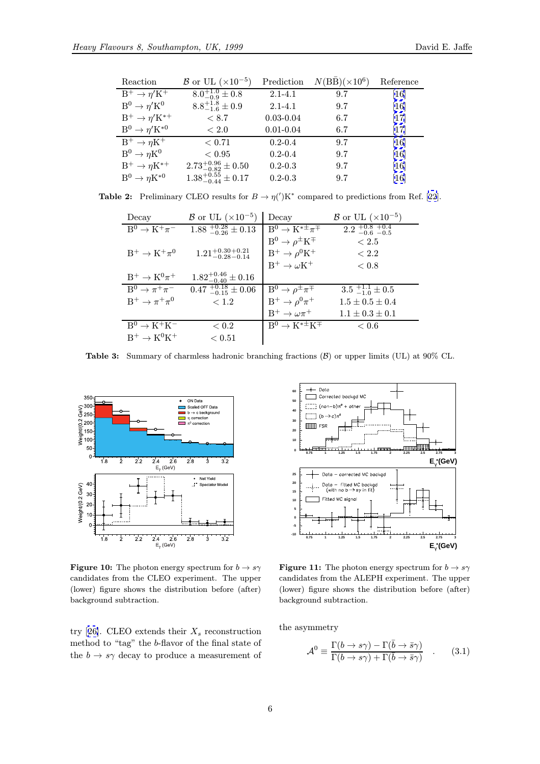<span id="page-5-0"></span>

| Reaction                       | $\mathcal{B}$ or UL ( $\times 10^{-5}$ ) | Prediction    | $N(B\bar{B}) (\times 10^6)$ | Reference         |
|--------------------------------|------------------------------------------|---------------|-----------------------------|-------------------|
| $B^+ \to \eta' K^+$            | $8.0^{+1.0}_{-0.9} \pm 0.8$              | $2.1 - 4.1$   | 9.7                         | $\left[16\right]$ |
| $B^0 \to \eta^{\prime} K^0$    | $8.8^{+1.8}_{-1.6}\pm0.9$                | $2.1 - 4.1$   | 9.7                         | [16]              |
| $B^+ \to \eta^{\prime} K^{*+}$ | < 8.7                                    | $0.03 - 0.04$ | 6.7                         | [17]              |
| $B^0 \to \eta^{\prime} K^{*0}$ | < 2.0                                    | $0.01 - 0.04$ | 6.7                         | $\vert 17 \vert$  |
| $B^+ \to \eta K^+$             | < 0.71                                   | $0.2 - 0.4$   | 9.7                         | [16]              |
| $B^0 \to \eta K^0$             | ${}< 0.95$                               | $0.2 - 0.4$   | 9.7                         | [16]              |
| $B^+ \to \eta K^{*+}$          | $2.73_{-0.82}^{+0.96} \pm 0.50$          | $0.2 - 0.3$   | 9.7                         | [16]              |
| $B^0 \to \eta K^{*0}$          | $1.38^{+0.55}_{-0.44} \pm 0.17$          | $0.2 - 0.3$   | 9.7                         | [16]              |

**Table 2:** Preliminary CLEO results for  $B \to \eta(')K^*$  c[om](#page-8-0)pared to predictions from Ref. [22].

| Decay                         | $\beta$ or UL ( $\times 10^{-5}$ ) | Decay                                            | $\mathcal{B}$ or UL ( $\times 10^{-5}$ ) |
|-------------------------------|------------------------------------|--------------------------------------------------|------------------------------------------|
| $B^0 \rightarrow K^+\pi^-$    | $1.88^{+0.28}_{-0.26}\pm 0.13$     | $\overline{B^0 \rightarrow K^{* \pm} \pi^{\mp}}$ | $2.2^{+0.8}_{-0.6}$ $-0.5$               |
|                               |                                    | $B^0 \rightarrow \rho^{\pm} K^{\mp}$             | < 2.5                                    |
| $B^+ \rightarrow K^+\pi^0$    | $1.21_{-0.28-0.14}^{+0.30+0.21}$   | $\rm B^+ \to \rho^0 K^+$                         | < 2.2                                    |
|                               |                                    | $B^+ \rightarrow \omega K^+$                     | < 0.8                                    |
| $B^+ \rightarrow K^0 \pi^+$   | $1.82^{+0.46}_{-0.40}\pm 0.16$     |                                                  |                                          |
| $B^0 \rightarrow \pi^+\pi^-$  | $0.47^{+0.18}_{-0.15}\pm 0.06$     | $B^0 \to \rho^{\pm} \pi^{\mp}$                   | $\overline{3.5}$ $_{-1.0}^{+1.1}$ ± 0.5  |
| $B^+ \rightarrow \pi^+ \pi^0$ | < 1.2                              | $B^+ \rightarrow \rho^0 \pi^+$                   | $1.5 \pm 0.5 \pm 0.4$                    |
|                               |                                    | $B^+ \to \omega \pi^+$                           | $1.1 \pm 0.3 \pm 0.1$                    |
| $B^0 \rightarrow K^+K^-$      | < 0.2                              | $B^0 \rightarrow K^{*\pm} K^{\mp}$               | < 0.6                                    |
| $B^+ \rightarrow K^0 K^+$     | ${}< 0.51$                         |                                                  |                                          |

**Table 3:** Summary of charmless hadronic branching fractions  $(\mathcal{B})$  or upper limits (UL) at 90% CL.



**Figure 10:** The photon energy spectrum for  $b \rightarrow s\gamma$ candidates from the CLEO experiment. The upper (lower) figure shows the distribution before (after) background subtraction.

try [26]. CLEO extends their  $X_s$  reconstruction method to "tag" the b-flavor of the final state of the  $b \to s\gamma$  decay to produce a measurement of



**Figure 11:** The photon energy spectrum for  $b \rightarrow s\gamma$ candidates from the ALEPH experiment. The upper (lower) figure shows the distribution before (after) background subtraction.

the asymmetry

$$
\mathcal{A}^0 \equiv \frac{\Gamma(b \to s\gamma) - \Gamma(\bar{b} \to \bar{s}\gamma)}{\Gamma(b \to s\gamma) + \Gamma(\bar{b} \to \bar{s}\gamma)} \quad . \tag{3.1}
$$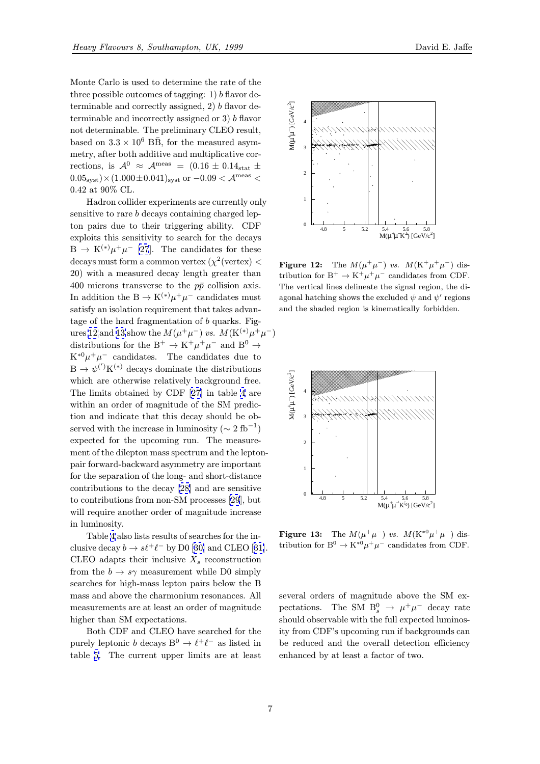Monte Carlo is used to determine the rate of the three possible outcomes of tagging:  $1) b$  flavor determinable and correctly assigned,  $2) b$  flavor determinable and incorrectly assigned or 3) b flavor not determinable. The preliminary CLEO result, based on  $3.3 \times 10^6$  BB, for the measured asymmetry, after both additive and multiplicative corrections, is  $\mathcal{A}^0 \approx \mathcal{A}^{\text{meas}} = (0.16 \pm 0.14_{\text{stat}} \pm 1)$  $0.05_{\rm syst})\!\times\!(1.000\!\pm\!0.041)_{\rm syst}$  or  $-0.09<{\mathcal{A}}^{\rm meas}<$ 0.42 at 90% CL.

Hadron collider experiments are currently only sensitive to rare b decays containing charged lepton pairs due to their triggering ability. CDF exploits this sensitivity to search for the decays  $B \to K^{(*)} \mu^+ \mu^-$  [27]. The candidates for these decays must form a common vertex  $(\chi^2$  (vertex) < 20) with a measured decay length greater than 400 microns transverse to the  $p\bar{p}$  collision axis. In addition the B  $\rightarrow$  K<sup>(\*)</sup> $\mu^{+}\mu^{-}$  candidates must satisfy an isolation requirement that takes advantage of the hard fragmentation of b quarks. Figures 12 and 13 show the  $M(\mu^+\mu^-)$  vs.  $M(\mathrm{K}^{(*)}\mu^+\mu^-)$ distributions for the B<sup>+</sup>  $\rightarrow$  K<sup>+</sup> $\mu$ <sup>+</sup> $\mu$ <sup>-</sup> and B<sup>0</sup>  $\rightarrow$  $K^{*0}\mu^+\mu^-$  candidates. The candidates due to  $B \to \psi^{(')} K^{(*)}$  decays dominate the distributions which are otherwise relatively background free. The limits obtained by CDF [27] in table 4 are within an order of magnitude of the SM prediction and indicate that this decay should be observed with the increase in luminosity ( $\sim 2~{\rm fb}^{-1})$ expected for the upcoming r[un.](#page-8-0) The me[as](#page-7-0)urement of the dilepton mass spectrum and the leptonpair forward-backward asymmetry are important for the separation of the long- and short-distance contributions to the decay [28] and are sensitive to contributions from non-SM processes [29], but will require another order of magnitude increase in luminosity.

Table 4 also lists results [of s](#page-8-0)earches for the inclusive decay  $b \to s\ell^+\ell^-$  by D0 [30] and [CLE](#page-8-0)O [31]. CLEO adapts their inclusive  $X_s$  reconstruction from the  $b \to s\gamma$  measurement while D0 simply searches f[or](#page-7-0) high-mass lepton pairs below the B mass and above the charmoniu[m r](#page-8-0)esonances. [All](#page-8-0) measurements are at least an order of magnitude higher than SM expectations.

Both CDF and CLEO have searched for the purely leptonic b decays  $B^0 \to \ell^+\ell^-$  as listed in table 5. The current upper limits are at least



Figure 12: The  $M(\mu^+\mu^-)$  vs.  $M(\text{K}^+\mu^+\mu^-)$  distribution for  $\mathrm{B}^+ \rightarrow \mathrm{K}^+ \mu^+ \mu^-$  candidates from CDF. The vertical lines delineate the signal region, the diagonal hatching shows the excluded  $\psi$  and  $\psi'$  regions and the shaded region is kinematically forbidden.



**Figure 13:** The  $M(\mu^+\mu^-)$  vs.  $M(\text{K}^{*0}\mu^+\mu^-)$  distribution for B<sup>0</sup>  $\rightarrow$  K<sup>\*0</sup> $\mu^+ \mu^-$  candidates from CDF.

several orders of magnitude above the SM expectations. The SM  $B_s^0 \rightarrow \mu^+\mu^-$  decay rate should observable with the full expected luminosity from CDF's upcoming run if backgrounds can be reduced and the overall detection efficiency enhanced by at least a factor of two.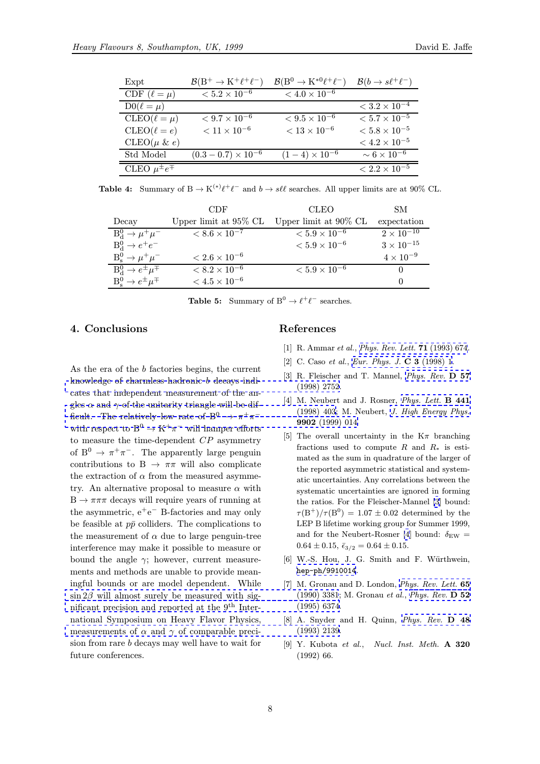<span id="page-7-0"></span>

| Expt                    | $\mathcal{B}(B^+\to K^+\ell^+\ell^-)$ | $\mathcal{B}(B^0 \to K^{*0}\ell^+\ell^-)$ | $\mathcal{B}(b \to s\ell^+\ell^-)$ |
|-------------------------|---------------------------------------|-------------------------------------------|------------------------------------|
| CDF $(\ell = \mu)$      | $< 5.2 \times 10^{-6}$                | $< 4.0 \times 10^{-6}$                    |                                    |
| $D0(\ell = \mu)$        |                                       |                                           | $< 3.2 \times 10^{-4}$             |
| $CLEO(\ell = \mu)$      | $< 9.7 \times 10^{-6}$                | $< 9.5 \times 10^{-6}$                    | $< 5.7 \times 10^{-5}$             |
| $CLEO(\ell = e)$        | $< 11 \times 10^{-6}$                 | $< 13 \times 10^{-6}$                     | $< 5.8 \times 10^{-5}$             |
| CLEO( $\mu$ & e)        |                                       |                                           | $< 4.2 \times 10^{-5}$             |
| Std Model               | $(0.3-0.7)\times10^{-6}$              | $(1-4) \times 10^{-6}$                    | $\sim 6 \times 10^{-6}$            |
| CLEO $\mu^{\pm}e^{\mp}$ |                                       |                                           | $< 2.2 \times 10^{-5}$             |

**Table 4:** Summary of  $B \to K^{(*)}\ell^+\ell^-$  and  $b \to s\ell\ell$  searches. All upper limits are at 90% CL.

|                                       | CDF                      | <b>CLEO</b>              | SM.                 |
|---------------------------------------|--------------------------|--------------------------|---------------------|
| Decay                                 | Upper limit at $95\%$ CL | Upper limit at $90\%$ CL | expectation         |
| $B_d^0 \rightarrow \mu^+\mu^-$        | $< 8.6 \times 10^{-7}$   | $< 5.9 \times 10^{-6}$   | $2 \times 10^{-10}$ |
| $B_d^0 \rightarrow e^+e^-$            |                          | $< 5.9 \times 10^{-6}$   | $3\times10^{-15}$   |
| $B_s^0 \rightarrow \mu^+\mu^-$        | $< 2.6 \times 10^{-6}$   |                          | $4 \times 10^{-9}$  |
| $B_d^0 \rightarrow e^{\pm} \mu^{\mp}$ | $< 8.2 \times 10^{-6}$   | $< 5.9 \times 10^{-6}$   | $\theta$            |
| $B_{\rm s}^0 \to e^{\pm} \mu^{\mp}$   | $< 4.5 \times 10^{-6}$   |                          | $\theta$            |

**Table 5:** Summary of B<sup>0</sup>  $\rightarrow \ell^+\ell^-$  searches.

# 4. Conclusions

As the era of the b factories begins, the current knowledge of charmless hadronic b decays indicates that independent measurement of the angles  $\alpha$  and  $\gamma$  of the unitarity triangle will be difficult. The relatively low rate of B<sup>0</sup>  $\rightarrow \pi^+\pi^$ with respect to  $B^0 \to K^+\pi^-$  [will hamper efforts](http://www-spires.slac.stanford.edu/spires/find/hep/www?j=PHRVA%2CD57%2C2752) to measure the time-dependent  $CP$  asymmetry of B<sup>0</sup>  $\rightarrow \pi^+\pi^-$ [. The apparently large penguin](http://www-spires.slac.stanford.edu/spires/find/hep/www?j=PHLTA%2CB441%2C403) contributions to B  $\rightarrow \pi\pi$  [will also complicate](http://jhep.sissa.it/stdsearch?paper=9902%281999%29014) the extraction of  $\alpha$  from the measured asymmetry. An alternative proposal to measure  $\alpha$  with  $B \to \pi \pi \pi$  decays will require years of running at the asymmetric, e<sup>+</sup>e<sup>−</sup> B-factories and may only be feasible at  $p\bar{p}$  colliders. The complications to the measurement of  $\alpha$  due to large penguin-tree interference may make it possible to measure or bound the angle  $\gamma$ ; however, current measurements and methods are unable to provide meaningful bounds or are model dependent. While  $\sin 2\beta$  will almost surely be measured with significant precision and reported at the  $9<sup>th</sup>$  International Symposium on Heavy Flavor Physics, measurements of  $\alpha$  and  $\gamma$  of comparable precision from rare b [decays may well have to wait for](http://www-spires.slac.stanford.edu/spires/find/hep/www?j=PRLTA%2C65%2C3381) [future](http://www-spires.slac.stanford.edu/spires/find/hep/www?j=PHRVA%2CD52%2C6374) [conferences.](http://www-spires.slac.stanford.edu/spires/find/hep/www?j=PHRVA%2CD52%2C6374)

## References

- [1] R. Ammar et al., *Phys. Rev. Lett.* **71** (1993) 674.
- [2] C. Caso *et al., Eur. Phys. J.* **C 3** (1998) 1.
- [3] R. Fleischer and T. Mannel, *Phys. Rev.* **D 57** (1998) 2752.
- [4] M. Neubert and [J.](http://www-spires.slac.stanford.edu/spires/find/hep/www?j=PRLTA%2C71%2C674) [Rosner,](http://www-spires.slac.stanford.edu/spires/find/hep/www?j=PRLTA%2C71%2C674) [Phys. Lett.](http://www-spires.slac.stanford.edu/spires/find/hep/www?j=EPHJA%2CC3%2C1) **B 441** (1998) 403; M. Neubert, J. [High Energy Phys.](http://www-spires.slac.stanford.edu/spires/find/hep/www?j=PHRVA%2CD57%2C2752) 9902 (1999) 014
- [5] The overall uncertainty in the  $K_{\pi}$  branching fractions used to compute R and  $R_*$  [is esti](http://www-spires.slac.stanford.edu/spires/find/hep/www?j=PHLTA%2CB441%2C403)mated as the sum in qua[drature of the larger of](http://jhep.sissa.it/stdsearch?paper=9902%281999%29014) the reported asymmetric statistical and systematic uncertainties. Any correlations between the systematic uncertainties are ignored in forming the ratios. For the Fleischer-Mannel [3] bound:  $\tau(B^+)/\tau(B^0)=1.07\pm 0.02$  determined by the LEP B lifetime working group for Summer 1999, and for the Neubert-Rosner [4] bound:  $\delta_{\rm EW}$  =  $0.64 \pm 0.15, \ \bar{\epsilon}_{3/2} = 0.64 \pm 0.15.$
- [6] W.-S. Hou, J. G. Smith and F. Würthwein, hep-ph/9910014.
- [7] M. Gronau and D. London, *Phys. Rev. Lett.* 65 (1990) 3381; M. Gronau et al., Phys. Rev. D 52 (1995) 6374.
- [8] [A.](http://xxx.lanl.gov/abs/hep-ph/9910014) [Snyder](http://xxx.lanl.gov/abs/hep-ph/9910014) [and](http://xxx.lanl.gov/abs/hep-ph/9910014) H. Quinn, [Phys. Rev.](http://www-spires.slac.stanford.edu/spires/find/hep/www?j=PRLTA%2C65%2C3381) D 48 (1993) 2139.
- [9] Y. Kubota et al., Nucl. Inst. Meth. A 320 (1992) 66.